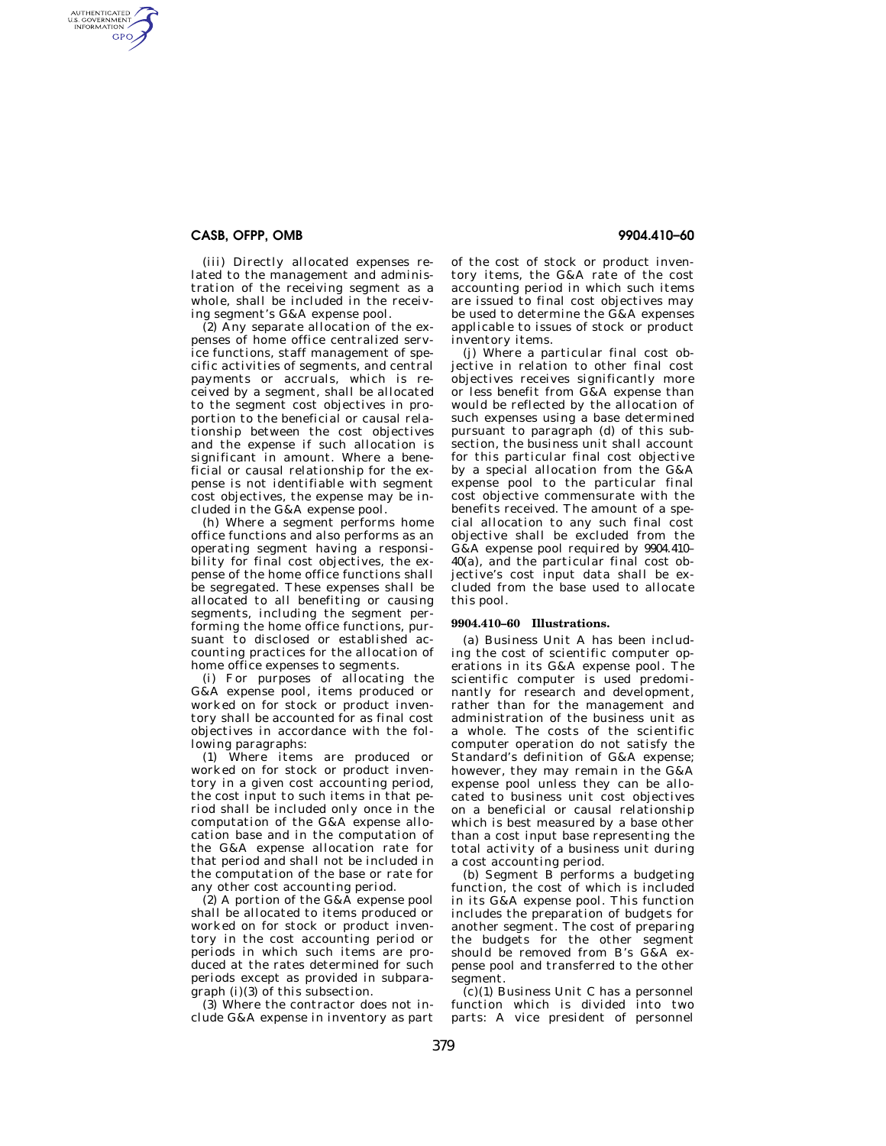## **CASB, OFPP, OMB 9904.410–60**

AUTHENTICATED<br>U.S. GOVERNMENT<br>INFORMATION GPO

> (iii) Directly allocated expenses related to the management and administration of the receiving segment as a whole, shall be included in the receiving segment's G&A expense pool.

> (2) Any separate allocation of the expenses of home office centralized service functions, staff management of specific activities of segments, and central payments or accruals, which is received by a segment, shall be allocated to the segment cost objectives in proportion to the beneficial or causal relationship between the cost objectives and the expense if such allocation is significant in amount. Where a beneficial or causal relationship for the expense is not identifiable with segment cost objectives, the expense may be included in the G&A expense pool.

> (h) Where a segment performs home office functions and also performs as an operating segment having a responsibility for final cost objectives, the expense of the home office functions shall be segregated. These expenses shall be allocated to all benefiting or causing segments, including the segment performing the home office functions, pursuant to disclosed or established accounting practices for the allocation of home office expenses to segments.

> (i) For purposes of allocating the G&A expense pool, items produced or worked on for stock or product inventory shall be accounted for as final cost objectives in accordance with the following paragraphs:

> (1) Where items are produced or worked on for stock or product inventory in a given cost accounting period, the cost input to such items in that period shall be included only once in the computation of the G&A expense allocation base and in the computation of the G&A expense allocation rate for that period and shall not be included in the computation of the base or rate for any other cost accounting period.

> (2) A portion of the G&A expense pool shall be allocated to items produced or worked on for stock or product inventory in the cost accounting period or periods in which such items are produced at the rates determined for such periods except as provided in subparagraph (i)(3) of this subsection.

(3) Where the contractor does not include G&A expense in inventory as part

of the cost of stock or product inventory items, the G&A rate of the cost accounting period in which such items are issued to final cost objectives may be used to determine the  $G&A$  expenses applicable to issues of stock or product inventory items.

(j) Where a particular final cost objective in relation to other final cost objectives receives significantly more or less benefit from G&A expense than would be reflected by the allocation of such expenses using a base determined pursuant to paragraph (d) of this subsection, the business unit shall account for this particular final cost objective by a special allocation from the G&A expense pool to the particular final cost objective commensurate with the benefits received. The amount of a special allocation to any such final cost objective shall be excluded from the G&A expense pool required by 9904.410– 40(a), and the particular final cost objective's cost input data shall be excluded from the base used to allocate this pool.

### **9904.410–60 Illustrations.**

(a) Business Unit A has been including the cost of scientific computer operations in its G&A expense pool. The scientific computer is used predominantly for research and development, rather than for the management and administration of the business unit as a whole. The costs of the scientific computer operation do not satisfy the Standard's definition of G&A expense; however, they may remain in the G&A expense pool unless they can be allocated to business unit cost objectives on a beneficial or causal relationship which is best measured by a base other than a cost input base representing the total activity of a business unit during a cost accounting period.

(b) Segment B performs a budgeting function, the cost of which is included in its G&A expense pool. This function includes the preparation of budgets for another segment. The cost of preparing the budgets for the other segment should be removed from B's G&A expense pool and transferred to the other segment.

(c)(1) Business Unit C has a personnel function which is divided into two parts: A vice president of personnel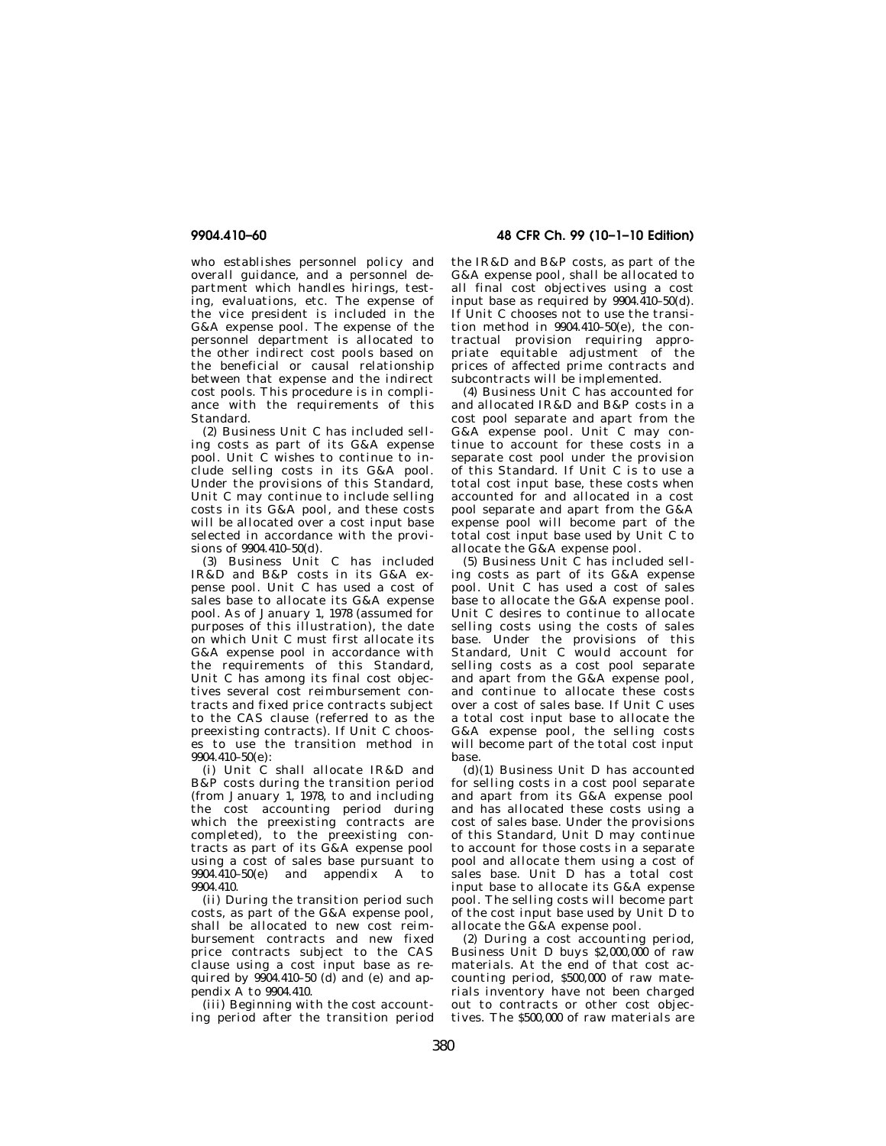who establishes personnel policy and overall guidance, and a personnel department which handles hirings, testing, evaluations, etc. The expense of the vice president is included in the G&A expense pool. The expense of the personnel department is allocated to the other indirect cost pools based on the beneficial or causal relationship between that expense and the indirect cost pools. This procedure is in compliance with the requirements of this Standard.

(2) Business Unit C has included selling costs as part of its G&A expense pool. Unit C wishes to continue to include selling costs in its G&A pool. Under the provisions of this Standard, Unit C may continue to include selling costs in its G&A pool, and these costs will be allocated over a cost input base selected in accordance with the provisions of 9904.410–50(d).

(3) Business Unit C has included IR&D and B&P costs in its G&A expense pool. Unit C has used a cost of sales base to allocate its G&A expense pool. As of January 1, 1978 (assumed for purposes of this illustration), the date on which Unit C must first allocate its G&A expense pool in accordance with the requirements of this Standard, Unit C has among its final cost objectives several cost reimbursement contracts and fixed price contracts subject to the CAS clause (referred to as the preexisting contracts). If Unit C chooses to use the transition method in 9904.410–50(e):

(i) Unit C shall allocate IR&D and B&P costs during the transition period (from January 1, 1978, to and including the cost accounting period during which the preexisting contracts are completed), to the preexisting contracts as part of its G&A expense pool using a cost of sales base pursuant to  $9904.\overline{410-50(e)}$  and appendix A to 9904.410.

(ii) During the transition period such costs, as part of the G&A expense pool, shall be allocated to new cost reimbursement contracts and new fixed price contracts subject to the CAS clause using a cost input base as required by  $904.410-50$  (d) and (e) and appendix A to 9904.410.

(iii) Beginning with the cost accounting period after the transition period

**9904.410–60 48 CFR Ch. 99 (10–1–10 Edition)** 

the IR&D and B&P costs, as part of the G&A expense pool, shall be allocated to all final cost objectives using a cost input base as required by  $9904.\overline{410}$ -50(d). If Unit C chooses not to use the transition method in 9904.410–50(e), the contractual provision requiring appropriate equitable adjustment of the prices of affected prime contracts and subcontracts will be implemented.

(4) Business Unit C has accounted for and allocated IR&D and B&P costs in a cost pool separate and apart from the G&A expense pool. Unit C may continue to account for these costs in a separate cost pool under the provision of this Standard. If Unit C is to use a total cost input base, these costs when accounted for and allocated in a cost pool separate and apart from the G&A expense pool will become part of the total cost input base used by Unit C to allocate the G&A expense pool.

 $(5)$  Business Unit  $\dot{C}$  has included selling costs as part of its G&A expense pool. Unit C has used a cost of sales base to allocate the G&A expense pool. Unit C desires to continue to allocate selling costs using the costs of sales base. Under the provisions of this Standard, Unit C would account for selling costs as a cost pool separate and apart from the G&A expense pool, and continue to allocate these costs over a cost of sales base. If Unit C uses a total cost input base to allocate the G&A expense pool, the selling costs will become part of the total cost input base.

(d)(1) Business Unit D has accounted for selling costs in a cost pool separate and apart from its G&A expense pool and has allocated these costs using a cost of sales base. Under the provisions of this Standard, Unit D may continue to account for those costs in a separate pool and allocate them using a cost of sales base. Unit D has a total cost input base to allocate its G&A expense pool. The selling costs will become part of the cost input base used by Unit D to allocate the G&A expense pool.

(2) During a cost accounting period, Business Unit D buys \$2,000,000 of raw materials. At the end of that cost accounting period, \$500,000 of raw materials inventory have not been charged out to contracts or other cost objectives. The \$500,000 of raw materials are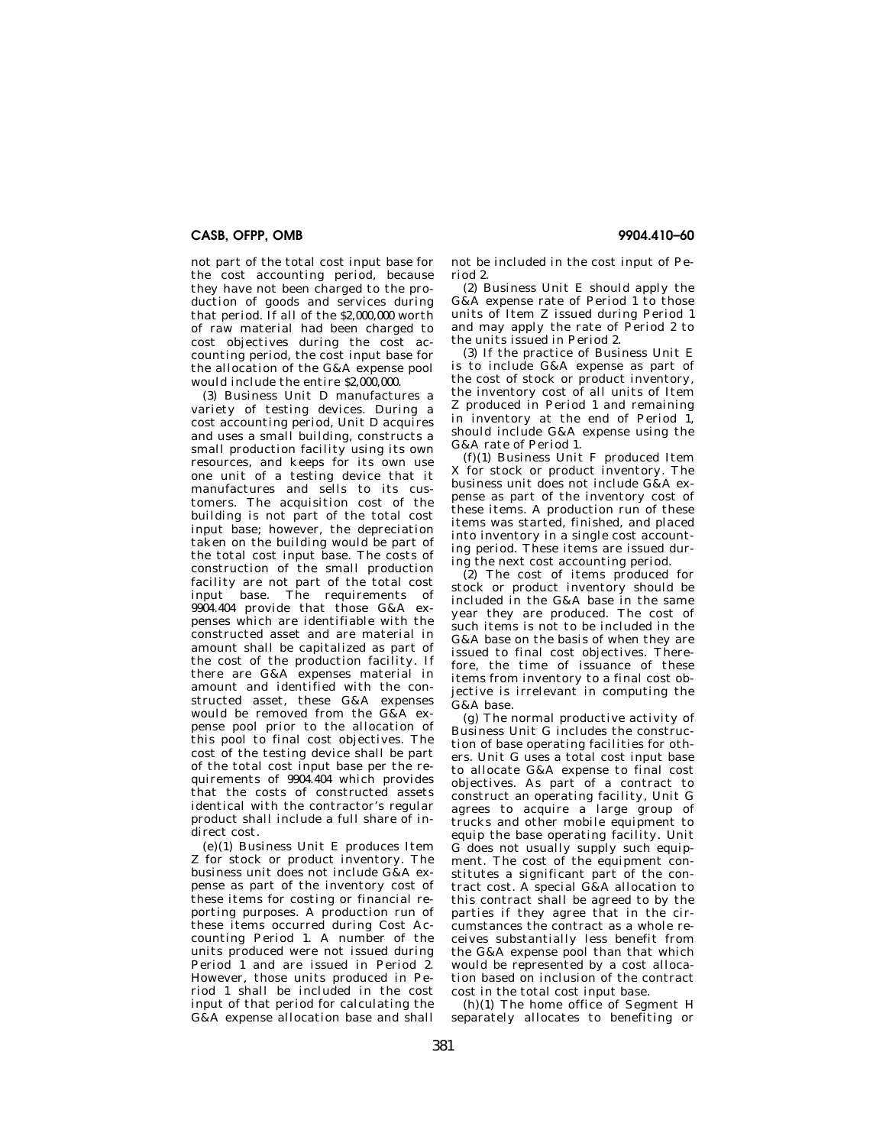# **CASB, OFPP, OMB 9904.410–60**

not part of the total cost input base for the cost accounting period, because they have not been charged to the production of goods and services during that period. If all of the \$2,000,000 worth of raw material had been charged to cost objectives during the cost accounting period, the cost input base for the allocation of the G&A expense pool would include the entire \$2,000,000.

(3) Business Unit D manufactures a variety of testing devices. During a cost accounting period, Unit D acquires and uses a small building, constructs a small production facility using its own resources, and keeps for its own use one unit of a testing device that it manufactures and sells to its customers. The acquisition cost of the building is not part of the total cost input base; however, the depreciation taken on the building would be part of the total cost input base. The costs of construction of the small production facility are not part of the total cost input base. The requirements of 9904.404 provide that those G&A expenses which are identifiable with the constructed asset and are material in amount shall be capitalized as part of the cost of the production facility. If there are G&A expenses material in amount and identified with the constructed asset, these G&A expenses would be removed from the G&A expense pool prior to the allocation of this pool to final cost objectives. The cost of the testing device shall be part of the total cost input base per the requirements of 9904.404 which provides that the costs of constructed assets identical with the contractor's regular product shall include a full share of indirect cost.

(e)(1) Business Unit E produces Item Z for stock or product inventory. The business unit does not include G&A expense as part of the inventory cost of these items for costing or financial reporting purposes. A production run of these items occurred during Cost Accounting Period 1. A number of the units produced were not issued during Period 1 and are issued in Period 2. However, those units produced in Period 1 shall be included in the cost input of that period for calculating the G&A expense allocation base and shall

not be included in the cost input of Period 2.

(2) Business Unit E should apply the G&A expense rate of Period 1 to those units of Item Z issued during Period 1 and may apply the rate of Period 2 to the units issued in Period 2.

(3) If the practice of Business Unit E is to include G&A expense as part of the cost of stock or product inventory, the inventory cost of all units of Item Z produced in Period 1 and remaining in inventory at the end of Period 1, should include G&A expense using the G&A rate of Period 1.

(f)(1) Business Unit F produced Item X for stock or product inventory. The business unit does not include G&A expense as part of the inventory cost of these items. A production run of these items was started, finished, and placed into inventory in a single cost accounting period. These items are issued during the next cost accounting period.

(2) The cost of items produced for stock or product inventory should be included in the G&A base in the same year they are produced. The cost of such items is not to be included in the G&A base on the basis of when they are issued to final cost objectives. Therefore, the time of issuance of these items from inventory to a final cost objective is irrelevant in computing the G&A base.

(g) The normal productive activity of Business Unit G includes the construction of base operating facilities for others. Unit G uses a total cost input base to allocate G&A expense to final cost objectives. As part of a contract to construct an operating facility, Unit G agrees to acquire a large group of trucks and other mobile equipment to equip the base operating facility. Unit G does not usually supply such equipment. The cost of the equipment constitutes a significant part of the contract cost. A special G&A allocation to this contract shall be agreed to by the parties if they agree that in the circumstances the contract as a whole receives substantially less benefit from the G&A expense pool than that which would be represented by a cost allocation based on inclusion of the contract cost in the total cost input base.

(h)(1) The home office of Segment H separately allocates to benefiting or